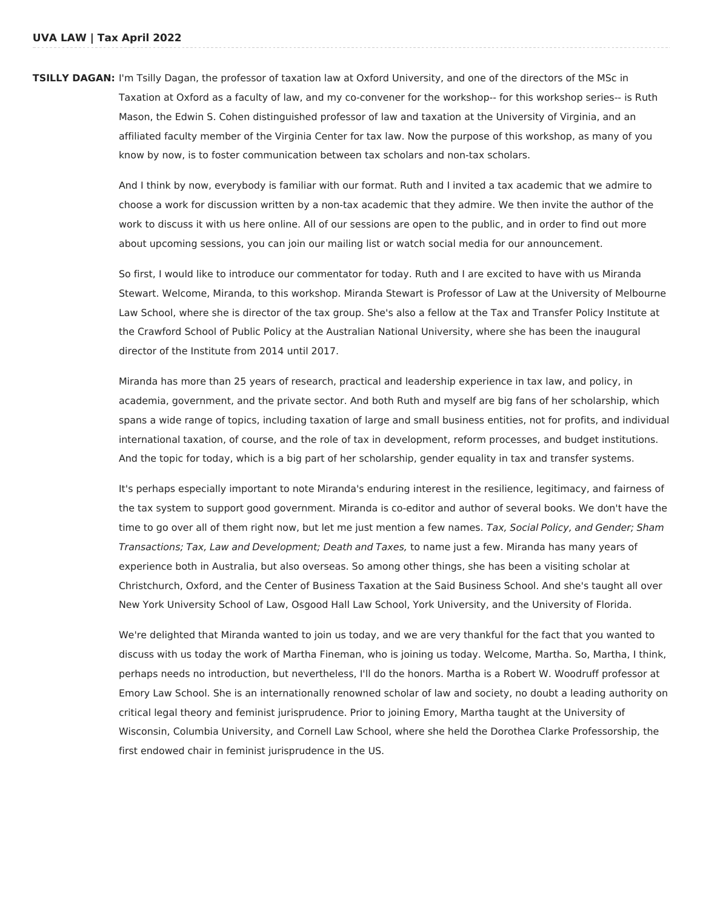**TSILLY DAGAN:** I'm Tsilly Dagan, the professor of taxation law at Oxford University, and one of the directors of the MSc in Taxation at Oxford as a faculty of law, and my co-convener for the workshop-- for this workshop series-- is Ruth Mason, the Edwin S. Cohen distinguished professor of law and taxation at the University of Virginia, and an affiliated faculty member of the Virginia Center for tax law. Now the purpose of this workshop, as many of you know by now, is to foster communication between tax scholars and non-tax scholars.

> And I think by now, everybody is familiar with our format. Ruth and I invited a tax academic that we admire to choose a work for discussion written by a non-tax academic that they admire. We then invite the author of the work to discuss it with us here online. All of our sessions are open to the public, and in order to find out more about upcoming sessions, you can join our mailing list or watch social media for our announcement.

So first, I would like to introduce our commentator for today. Ruth and I are excited to have with us Miranda Stewart. Welcome, Miranda, to this workshop. Miranda Stewart is Professor of Law at the University of Melbourne Law School, where she is director of the tax group. She's also a fellow at the Tax and Transfer Policy Institute at the Crawford School of Public Policy at the Australian National University, where she has been the inaugural director of the Institute from 2014 until 2017.

Miranda has more than 25 years of research, practical and leadership experience in tax law, and policy, in academia, government, and the private sector. And both Ruth and myself are big fans of her scholarship, which spans a wide range of topics, including taxation of large and small business entities, not for profits, and individual international taxation, of course, and the role of tax in development, reform processes, and budget institutions. And the topic for today, which is a big part of her scholarship, gender equality in tax and transfer systems.

It's perhaps especially important to note Miranda's enduring interest in the resilience, legitimacy, and fairness of the tax system to support good government. Miranda is co-editor and author of several books. We don't have the time to go over all of them right now, but let me just mention a few names. Tax, Social Policy, and Gender; Sham Transactions; Tax, Law and Development; Death and Taxes, to name just a few. Miranda has many years of experience both in Australia, but also overseas. So among other things, she has been a visiting scholar at Christchurch, Oxford, and the Center of Business Taxation at the Said Business School. And she's taught all over New York University School of Law, Osgood Hall Law School, York University, and the University of Florida.

We're delighted that Miranda wanted to join us today, and we are very thankful for the fact that you wanted to discuss with us today the work of Martha Fineman, who is joining us today. Welcome, Martha. So, Martha, I think, perhaps needs no introduction, but nevertheless, I'll do the honors. Martha is a Robert W. Woodruff professor at Emory Law School. She is an internationally renowned scholar of law and society, no doubt a leading authority on critical legal theory and feminist jurisprudence. Prior to joining Emory, Martha taught at the University of Wisconsin, Columbia University, and Cornell Law School, where she held the Dorothea Clarke Professorship, the first endowed chair in feminist jurisprudence in the US.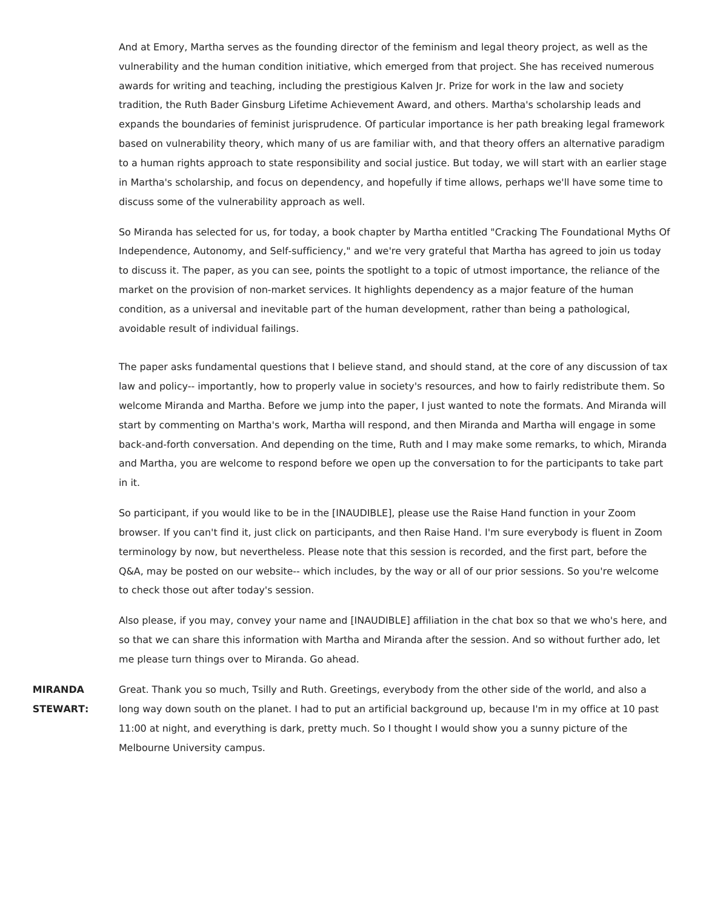And at Emory, Martha serves as the founding director of the feminism and legal theory project, as well as the vulnerability and the human condition initiative, which emerged from that project. She has received numerous awards for writing and teaching, including the prestigious Kalven Jr. Prize for work in the law and society tradition, the Ruth Bader Ginsburg Lifetime Achievement Award, and others. Martha's scholarship leads and expands the boundaries of feminist jurisprudence. Of particular importance is her path breaking legal framework based on vulnerability theory, which many of us are familiar with, and that theory offers an alternative paradigm to a human rights approach to state responsibility and social justice. But today, we will start with an earlier stage in Martha's scholarship, and focus on dependency, and hopefully if time allows, perhaps we'll have some time to discuss some of the vulnerability approach as well.

So Miranda has selected for us, for today, a book chapter by Martha entitled "Cracking The Foundational Myths Of Independence, Autonomy, and Self-sufficiency," and we're very grateful that Martha has agreed to join us today to discuss it. The paper, as you can see, points the spotlight to a topic of utmost importance, the reliance of the market on the provision of non-market services. It highlights dependency as a major feature of the human condition, as a universal and inevitable part of the human development, rather than being a pathological, avoidable result of individual failings.

The paper asks fundamental questions that I believe stand, and should stand, at the core of any discussion of tax law and policy-- importantly, how to properly value in society's resources, and how to fairly redistribute them. So welcome Miranda and Martha. Before we jump into the paper, I just wanted to note the formats. And Miranda will start by commenting on Martha's work, Martha will respond, and then Miranda and Martha will engage in some back-and-forth conversation. And depending on the time, Ruth and I may make some remarks, to which, Miranda and Martha, you are welcome to respond before we open up the conversation to for the participants to take part in it.

So participant, if you would like to be in the [INAUDIBLE], please use the Raise Hand function in your Zoom browser. If you can't find it, just click on participants, and then Raise Hand. I'm sure everybody is fluent in Zoom terminology by now, but nevertheless. Please note that this session is recorded, and the first part, before the Q&A, may be posted on our website-- which includes, by the way or all of our prior sessions. So you're welcome to check those out after today's session.

Also please, if you may, convey your name and [INAUDIBLE] affiliation in the chat box so that we who's here, and so that we can share this information with Martha and Miranda after the session. And so without further ado, let me please turn things over to Miranda. Go ahead.

**MIRANDA STEWART:** Great. Thank you so much, Tsilly and Ruth. Greetings, everybody from the other side of the world, and also a long way down south on the planet. I had to put an artificial background up, because I'm in my office at 10 past 11:00 at night, and everything is dark, pretty much. So I thought I would show you a sunny picture of the Melbourne University campus.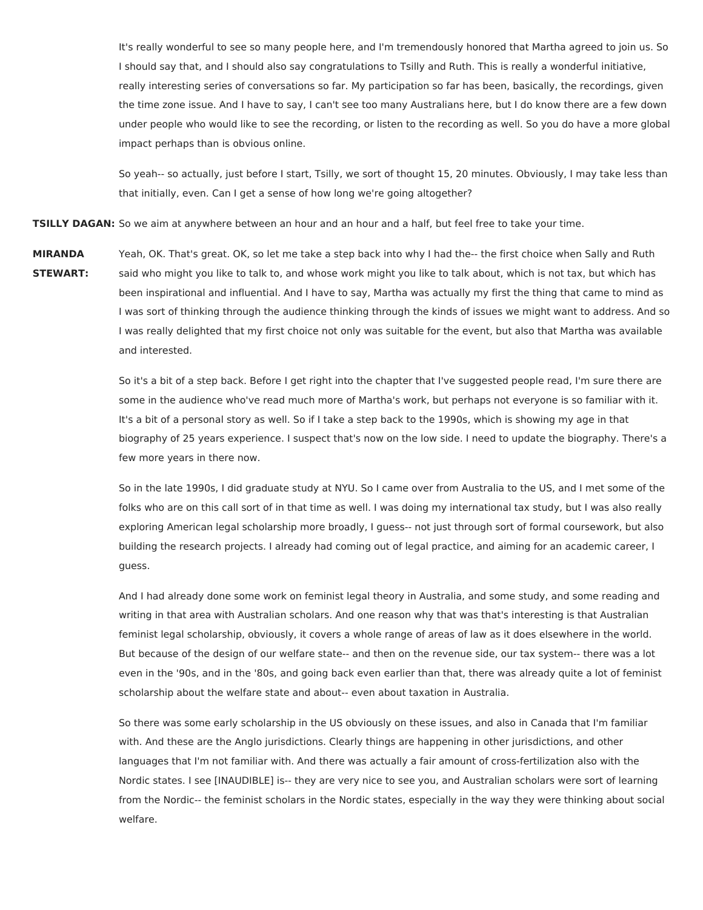It's really wonderful to see so many people here, and I'm tremendously honored that Martha agreed to join us. So I should say that, and I should also say congratulations to Tsilly and Ruth. This is really a wonderful initiative, really interesting series of conversations so far. My participation so far has been, basically, the recordings, given the time zone issue. And I have to say, I can't see too many Australians here, but I do know there are a few down under people who would like to see the recording, or listen to the recording as well. So you do have a more global impact perhaps than is obvious online.

So yeah-- so actually, just before I start, Tsilly, we sort of thought 15, 20 minutes. Obviously, I may take less than that initially, even. Can I get a sense of how long we're going altogether?

**TSILLY DAGAN:** So we aim at anywhere between an hour and an hour and a half, but feel free to take your time.

**MIRANDA STEWART:** Yeah, OK. That's great. OK, so let me take a step back into why I had the-- the first choice when Sally and Ruth said who might you like to talk to, and whose work might you like to talk about, which is not tax, but which has been inspirational and influential. And I have to say, Martha was actually my first the thing that came to mind as I was sort of thinking through the audience thinking through the kinds of issues we might want to address. And so I was really delighted that my first choice not only was suitable for the event, but also that Martha was available and interested.

> So it's a bit of a step back. Before I get right into the chapter that I've suggested people read, I'm sure there are some in the audience who've read much more of Martha's work, but perhaps not everyone is so familiar with it. It's a bit of a personal story as well. So if I take a step back to the 1990s, which is showing my age in that biography of 25 years experience. I suspect that's now on the low side. I need to update the biography. There's a few more years in there now.

> So in the late 1990s, I did graduate study at NYU. So I came over from Australia to the US, and I met some of the folks who are on this call sort of in that time as well. I was doing my international tax study, but I was also really exploring American legal scholarship more broadly, I guess-- not just through sort of formal coursework, but also building the research projects. I already had coming out of legal practice, and aiming for an academic career, I guess.

> And I had already done some work on feminist legal theory in Australia, and some study, and some reading and writing in that area with Australian scholars. And one reason why that was that's interesting is that Australian feminist legal scholarship, obviously, it covers a whole range of areas of law as it does elsewhere in the world. But because of the design of our welfare state-- and then on the revenue side, our tax system-- there was a lot even in the '90s, and in the '80s, and going back even earlier than that, there was already quite a lot of feminist scholarship about the welfare state and about-- even about taxation in Australia.

> So there was some early scholarship in the US obviously on these issues, and also in Canada that I'm familiar with. And these are the Anglo jurisdictions. Clearly things are happening in other jurisdictions, and other languages that I'm not familiar with. And there was actually a fair amount of cross-fertilization also with the Nordic states. I see [INAUDIBLE] is-- they are very nice to see you, and Australian scholars were sort of learning from the Nordic-- the feminist scholars in the Nordic states, especially in the way they were thinking about social welfare.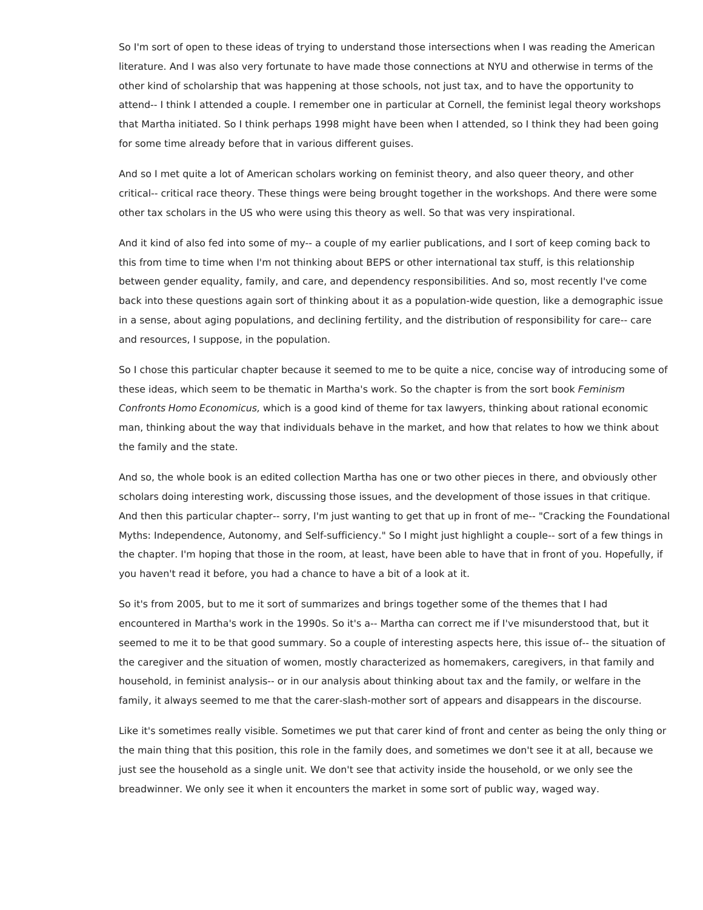So I'm sort of open to these ideas of trying to understand those intersections when I was reading the American literature. And I was also very fortunate to have made those connections at NYU and otherwise in terms of the other kind of scholarship that was happening at those schools, not just tax, and to have the opportunity to attend-- I think I attended a couple. I remember one in particular at Cornell, the feminist legal theory workshops that Martha initiated. So I think perhaps 1998 might have been when I attended, so I think they had been going for some time already before that in various different guises.

And so I met quite a lot of American scholars working on feminist theory, and also queer theory, and other critical-- critical race theory. These things were being brought together in the workshops. And there were some other tax scholars in the US who were using this theory as well. So that was very inspirational.

And it kind of also fed into some of my-- a couple of my earlier publications, and I sort of keep coming back to this from time to time when I'm not thinking about BEPS or other international tax stuff, is this relationship between gender equality, family, and care, and dependency responsibilities. And so, most recently I've come back into these questions again sort of thinking about it as a population-wide question, like a demographic issue in a sense, about aging populations, and declining fertility, and the distribution of responsibility for care-- care and resources, I suppose, in the population.

So I chose this particular chapter because it seemed to me to be quite a nice, concise way of introducing some of these ideas, which seem to be thematic in Martha's work. So the chapter is from the sort book Feminism Confronts Homo Economicus, which is a good kind of theme for tax lawyers, thinking about rational economic man, thinking about the way that individuals behave in the market, and how that relates to how we think about the family and the state.

And so, the whole book is an edited collection Martha has one or two other pieces in there, and obviously other scholars doing interesting work, discussing those issues, and the development of those issues in that critique. And then this particular chapter-- sorry, I'm just wanting to get that up in front of me-- "Cracking the Foundational Myths: Independence, Autonomy, and Self-sufficiency." So I might just highlight a couple-- sort of a few things in the chapter. I'm hoping that those in the room, at least, have been able to have that in front of you. Hopefully, if you haven't read it before, you had a chance to have a bit of a look at it.

So it's from 2005, but to me it sort of summarizes and brings together some of the themes that I had encountered in Martha's work in the 1990s. So it's a-- Martha can correct me if I've misunderstood that, but it seemed to me it to be that good summary. So a couple of interesting aspects here, this issue of-- the situation of the caregiver and the situation of women, mostly characterized as homemakers, caregivers, in that family and household, in feminist analysis-- or in our analysis about thinking about tax and the family, or welfare in the family, it always seemed to me that the carer-slash-mother sort of appears and disappears in the discourse.

Like it's sometimes really visible. Sometimes we put that carer kind of front and center as being the only thing or the main thing that this position, this role in the family does, and sometimes we don't see it at all, because we just see the household as a single unit. We don't see that activity inside the household, or we only see the breadwinner. We only see it when it encounters the market in some sort of public way, waged way.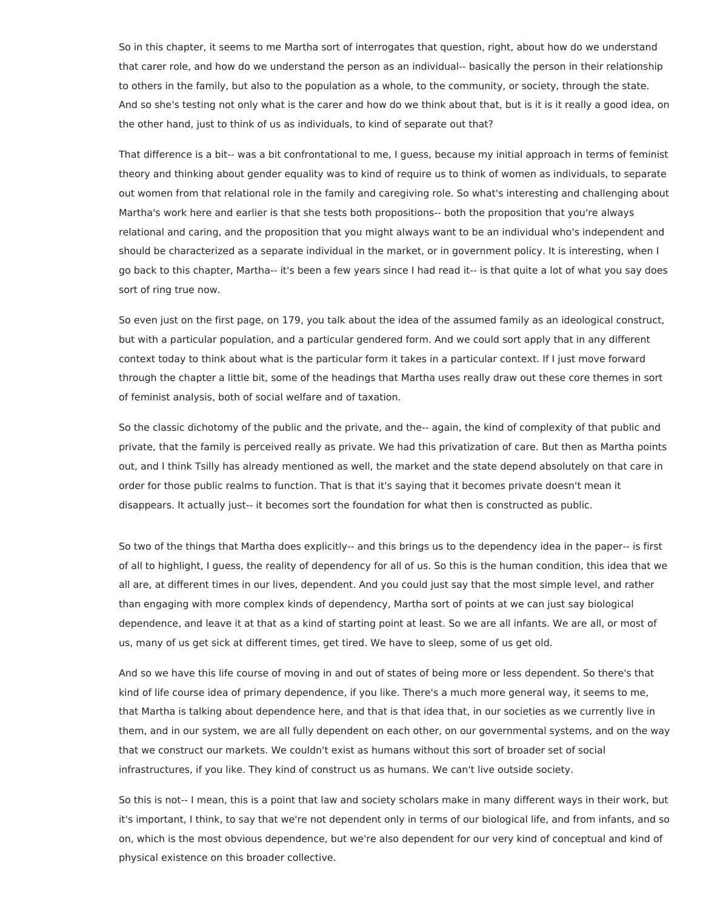So in this chapter, it seems to me Martha sort of interrogates that question, right, about how do we understand that carer role, and how do we understand the person as an individual-- basically the person in their relationship to others in the family, but also to the population as a whole, to the community, or society, through the state. And so she's testing not only what is the carer and how do we think about that, but is it is it really a good idea, on the other hand, just to think of us as individuals, to kind of separate out that?

That difference is a bit-- was a bit confrontational to me, I guess, because my initial approach in terms of feminist theory and thinking about gender equality was to kind of require us to think of women as individuals, to separate out women from that relational role in the family and caregiving role. So what's interesting and challenging about Martha's work here and earlier is that she tests both propositions-- both the proposition that you're always relational and caring, and the proposition that you might always want to be an individual who's independent and should be characterized as a separate individual in the market, or in government policy. It is interesting, when I go back to this chapter, Martha-- it's been a few years since I had read it-- is that quite a lot of what you say does sort of ring true now.

So even just on the first page, on 179, you talk about the idea of the assumed family as an ideological construct, but with a particular population, and a particular gendered form. And we could sort apply that in any different context today to think about what is the particular form it takes in a particular context. If I just move forward through the chapter a little bit, some of the headings that Martha uses really draw out these core themes in sort of feminist analysis, both of social welfare and of taxation.

So the classic dichotomy of the public and the private, and the-- again, the kind of complexity of that public and private, that the family is perceived really as private. We had this privatization of care. But then as Martha points out, and I think Tsilly has already mentioned as well, the market and the state depend absolutely on that care in order for those public realms to function. That is that it's saying that it becomes private doesn't mean it disappears. It actually just-- it becomes sort the foundation for what then is constructed as public.

So two of the things that Martha does explicitly-- and this brings us to the dependency idea in the paper-- is first of all to highlight, I guess, the reality of dependency for all of us. So this is the human condition, this idea that we all are, at different times in our lives, dependent. And you could just say that the most simple level, and rather than engaging with more complex kinds of dependency, Martha sort of points at we can just say biological dependence, and leave it at that as a kind of starting point at least. So we are all infants. We are all, or most of us, many of us get sick at different times, get tired. We have to sleep, some of us get old.

And so we have this life course of moving in and out of states of being more or less dependent. So there's that kind of life course idea of primary dependence, if you like. There's a much more general way, it seems to me, that Martha is talking about dependence here, and that is that idea that, in our societies as we currently live in them, and in our system, we are all fully dependent on each other, on our governmental systems, and on the way that we construct our markets. We couldn't exist as humans without this sort of broader set of social infrastructures, if you like. They kind of construct us as humans. We can't live outside society.

So this is not-- I mean, this is a point that law and society scholars make in many different ways in their work, but it's important, I think, to say that we're not dependent only in terms of our biological life, and from infants, and so on, which is the most obvious dependence, but we're also dependent for our very kind of conceptual and kind of physical existence on this broader collective.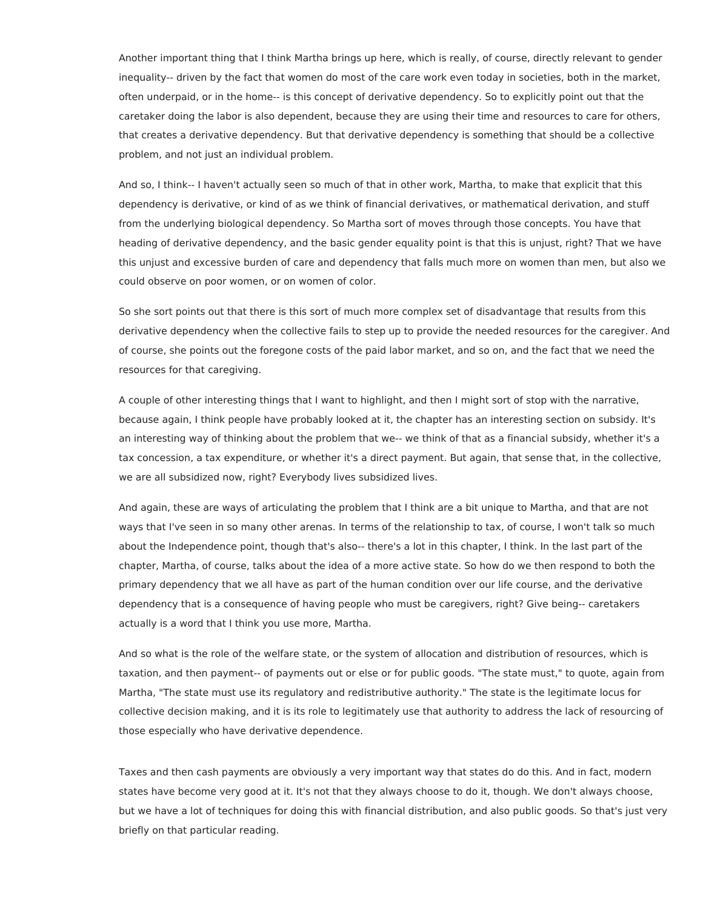Another important thing that I think Martha brings up here, which is really, of course, directly relevant to gender inequality-- driven by the fact that women do most of the care work even today in societies, both in the market, often underpaid, or in the home-- is this concept of derivative dependency. So to explicitly point out that the caretaker doing the labor is also dependent, because they are using their time and resources to care for others, that creates a derivative dependency. But that derivative dependency is something that should be a collective problem, and not just an individual problem.

And so, I think-- I haven't actually seen so much of that in other work, Martha, to make that explicit that this dependency is derivative, or kind of as we think of financial derivatives, or mathematical derivation, and stuff from the underlying biological dependency. So Martha sort of moves through those concepts. You have that heading of derivative dependency, and the basic gender equality point is that this is unjust, right? That we have this unjust and excessive burden of care and dependency that falls much more on women than men, but also we could observe on poor women, or on women of color.

So she sort points out that there is this sort of much more complex set of disadvantage that results from this derivative dependency when the collective fails to step up to provide the needed resources for the caregiver. And of course, she points out the foregone costs of the paid labor market, and so on, and the fact that we need the resources for that caregiving.

A couple of other interesting things that I want to highlight, and then I might sort of stop with the narrative, because again, I think people have probably looked at it, the chapter has an interesting section on subsidy. It's an interesting way of thinking about the problem that we-- we think of that as a financial subsidy, whether it's a tax concession, a tax expenditure, or whether it's a direct payment. But again, that sense that, in the collective, we are all subsidized now, right? Everybody lives subsidized lives.

And again, these are ways of articulating the problem that I think are a bit unique to Martha, and that are not ways that I've seen in so many other arenas. In terms of the relationship to tax, of course, I won't talk so much about the Independence point, though that's also-- there's a lot in this chapter, I think. In the last part of the chapter, Martha, of course, talks about the idea of a more active state. So how do we then respond to both the primary dependency that we all have as part of the human condition over our life course, and the derivative dependency that is a consequence of having people who must be caregivers, right? Give being-- caretakers actually is a word that I think you use more, Martha.

And so what is the role of the welfare state, or the system of allocation and distribution of resources, which is taxation, and then payment-- of payments out or else or for public goods. "The state must," to quote, again from Martha, "The state must use its regulatory and redistributive authority." The state is the legitimate locus for collective decision making, and it is its role to legitimately use that authority to address the lack of resourcing of those especially who have derivative dependence.

Taxes and then cash payments are obviously a very important way that states do do this. And in fact, modern states have become very good at it. It's not that they always choose to do it, though. We don't always choose, but we have a lot of techniques for doing this with financial distribution, and also public goods. So that's just very briefly on that particular reading.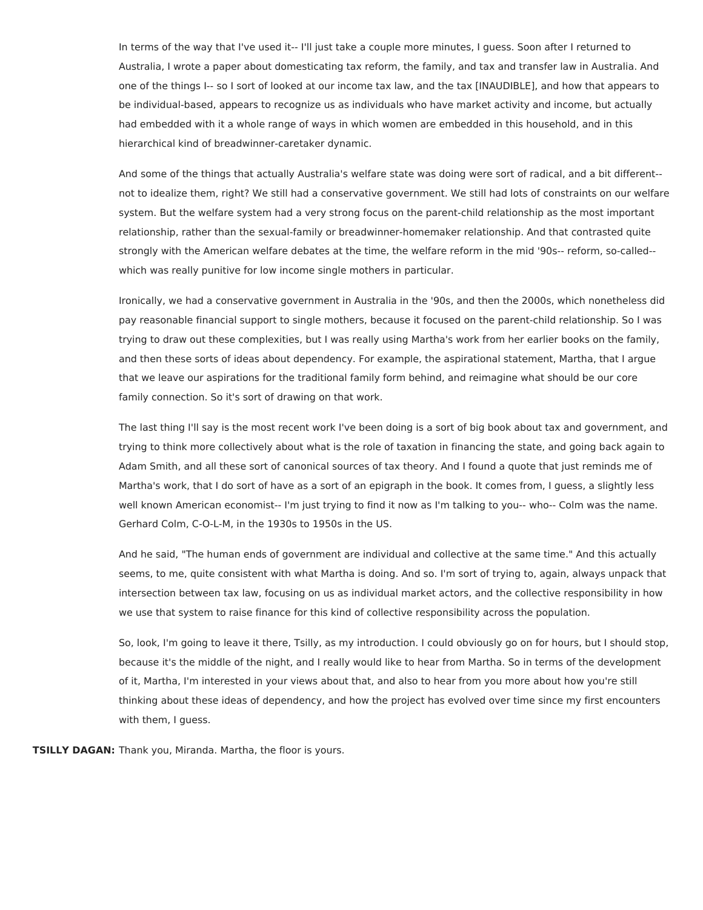In terms of the way that I've used it-- I'll just take a couple more minutes, I guess. Soon after I returned to Australia, I wrote a paper about domesticating tax reform, the family, and tax and transfer law in Australia. And one of the things I-- so I sort of looked at our income tax law, and the tax [INAUDIBLE], and how that appears to be individual-based, appears to recognize us as individuals who have market activity and income, but actually had embedded with it a whole range of ways in which women are embedded in this household, and in this hierarchical kind of breadwinner-caretaker dynamic.

And some of the things that actually Australia's welfare state was doing were sort of radical, and a bit different- not to idealize them, right? We still had a conservative government. We still had lots of constraints on our welfare system. But the welfare system had a very strong focus on the parent-child relationship as the most important relationship, rather than the sexual-family or breadwinner-homemaker relationship. And that contrasted quite strongly with the American welfare debates at the time, the welfare reform in the mid '90s-- reform, so-called- which was really punitive for low income single mothers in particular.

Ironically, we had a conservative government in Australia in the '90s, and then the 2000s, which nonetheless did pay reasonable financial support to single mothers, because it focused on the parent-child relationship. So I was trying to draw out these complexities, but I was really using Martha's work from her earlier books on the family, and then these sorts of ideas about dependency. For example, the aspirational statement, Martha, that I argue that we leave our aspirations for the traditional family form behind, and reimagine what should be our core family connection. So it's sort of drawing on that work.

The last thing I'll say is the most recent work I've been doing is a sort of big book about tax and government, and trying to think more collectively about what is the role of taxation in financing the state, and going back again to Adam Smith, and all these sort of canonical sources of tax theory. And I found a quote that just reminds me of Martha's work, that I do sort of have as a sort of an epigraph in the book. It comes from, I guess, a slightly less well known American economist-- I'm just trying to find it now as I'm talking to you-- who-- Colm was the name. Gerhard Colm, C-O-L-M, in the 1930s to 1950s in the US.

And he said, "The human ends of government are individual and collective at the same time." And this actually seems, to me, quite consistent with what Martha is doing. And so. I'm sort of trying to, again, always unpack that intersection between tax law, focusing on us as individual market actors, and the collective responsibility in how we use that system to raise finance for this kind of collective responsibility across the population.

So, look, I'm going to leave it there, Tsilly, as my introduction. I could obviously go on for hours, but I should stop, because it's the middle of the night, and I really would like to hear from Martha. So in terms of the development of it, Martha, I'm interested in your views about that, and also to hear from you more about how you're still thinking about these ideas of dependency, and how the project has evolved over time since my first encounters with them, I guess.

**TSILLY DAGAN:** Thank you, Miranda. Martha, the floor is yours.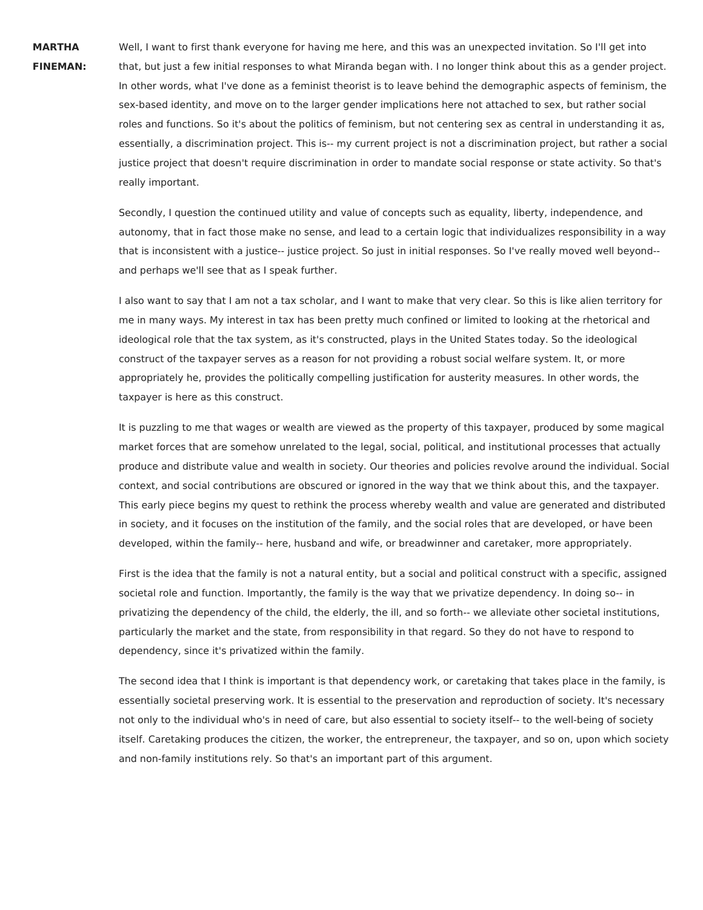**MARTHA FINEMAN:**

Well, I want to first thank everyone for having me here, and this was an unexpected invitation. So I'll get into that, but just a few initial responses to what Miranda began with. I no longer think about this as a gender project. In other words, what I've done as a feminist theorist is to leave behind the demographic aspects of feminism, the sex-based identity, and move on to the larger gender implications here not attached to sex, but rather social roles and functions. So it's about the politics of feminism, but not centering sex as central in understanding it as, essentially, a discrimination project. This is-- my current project is not a discrimination project, but rather a social justice project that doesn't require discrimination in order to mandate social response or state activity. So that's really important.

Secondly, I question the continued utility and value of concepts such as equality, liberty, independence, and autonomy, that in fact those make no sense, and lead to a certain logic that individualizes responsibility in a way that is inconsistent with a justice-- justice project. So just in initial responses. So I've really moved well beyond- and perhaps we'll see that as I speak further.

I also want to say that I am not a tax scholar, and I want to make that very clear. So this is like alien territory for me in many ways. My interest in tax has been pretty much confined or limited to looking at the rhetorical and ideological role that the tax system, as it's constructed, plays in the United States today. So the ideological construct of the taxpayer serves as a reason for not providing a robust social welfare system. It, or more appropriately he, provides the politically compelling justification for austerity measures. In other words, the taxpayer is here as this construct.

It is puzzling to me that wages or wealth are viewed as the property of this taxpayer, produced by some magical market forces that are somehow unrelated to the legal, social, political, and institutional processes that actually produce and distribute value and wealth in society. Our theories and policies revolve around the individual. Social context, and social contributions are obscured or ignored in the way that we think about this, and the taxpayer. This early piece begins my quest to rethink the process whereby wealth and value are generated and distributed in society, and it focuses on the institution of the family, and the social roles that are developed, or have been developed, within the family-- here, husband and wife, or breadwinner and caretaker, more appropriately.

First is the idea that the family is not a natural entity, but a social and political construct with a specific, assigned societal role and function. Importantly, the family is the way that we privatize dependency. In doing so-- in privatizing the dependency of the child, the elderly, the ill, and so forth-- we alleviate other societal institutions, particularly the market and the state, from responsibility in that regard. So they do not have to respond to dependency, since it's privatized within the family.

The second idea that I think is important is that dependency work, or caretaking that takes place in the family, is essentially societal preserving work. It is essential to the preservation and reproduction of society. It's necessary not only to the individual who's in need of care, but also essential to society itself-- to the well-being of society itself. Caretaking produces the citizen, the worker, the entrepreneur, the taxpayer, and so on, upon which society and non-family institutions rely. So that's an important part of this argument.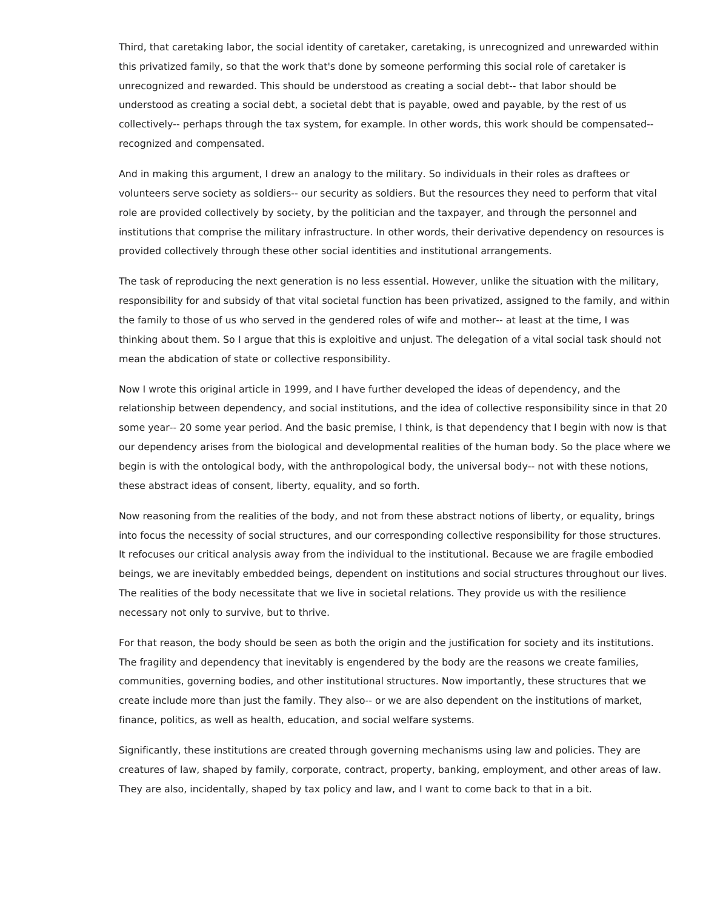Third, that caretaking labor, the social identity of caretaker, caretaking, is unrecognized and unrewarded within this privatized family, so that the work that's done by someone performing this social role of caretaker is unrecognized and rewarded. This should be understood as creating a social debt-- that labor should be understood as creating a social debt, a societal debt that is payable, owed and payable, by the rest of us collectively-- perhaps through the tax system, for example. In other words, this work should be compensated- recognized and compensated.

And in making this argument, I drew an analogy to the military. So individuals in their roles as draftees or volunteers serve society as soldiers-- our security as soldiers. But the resources they need to perform that vital role are provided collectively by society, by the politician and the taxpayer, and through the personnel and institutions that comprise the military infrastructure. In other words, their derivative dependency on resources is provided collectively through these other social identities and institutional arrangements.

The task of reproducing the next generation is no less essential. However, unlike the situation with the military, responsibility for and subsidy of that vital societal function has been privatized, assigned to the family, and within the family to those of us who served in the gendered roles of wife and mother-- at least at the time, I was thinking about them. So I argue that this is exploitive and unjust. The delegation of a vital social task should not mean the abdication of state or collective responsibility.

Now I wrote this original article in 1999, and I have further developed the ideas of dependency, and the relationship between dependency, and social institutions, and the idea of collective responsibility since in that 20 some year-- 20 some year period. And the basic premise, I think, is that dependency that I begin with now is that our dependency arises from the biological and developmental realities of the human body. So the place where we begin is with the ontological body, with the anthropological body, the universal body-- not with these notions, these abstract ideas of consent, liberty, equality, and so forth.

Now reasoning from the realities of the body, and not from these abstract notions of liberty, or equality, brings into focus the necessity of social structures, and our corresponding collective responsibility for those structures. It refocuses our critical analysis away from the individual to the institutional. Because we are fragile embodied beings, we are inevitably embedded beings, dependent on institutions and social structures throughout our lives. The realities of the body necessitate that we live in societal relations. They provide us with the resilience necessary not only to survive, but to thrive.

For that reason, the body should be seen as both the origin and the justification for society and its institutions. The fragility and dependency that inevitably is engendered by the body are the reasons we create families, communities, governing bodies, and other institutional structures. Now importantly, these structures that we create include more than just the family. They also-- or we are also dependent on the institutions of market, finance, politics, as well as health, education, and social welfare systems.

Significantly, these institutions are created through governing mechanisms using law and policies. They are creatures of law, shaped by family, corporate, contract, property, banking, employment, and other areas of law. They are also, incidentally, shaped by tax policy and law, and I want to come back to that in a bit.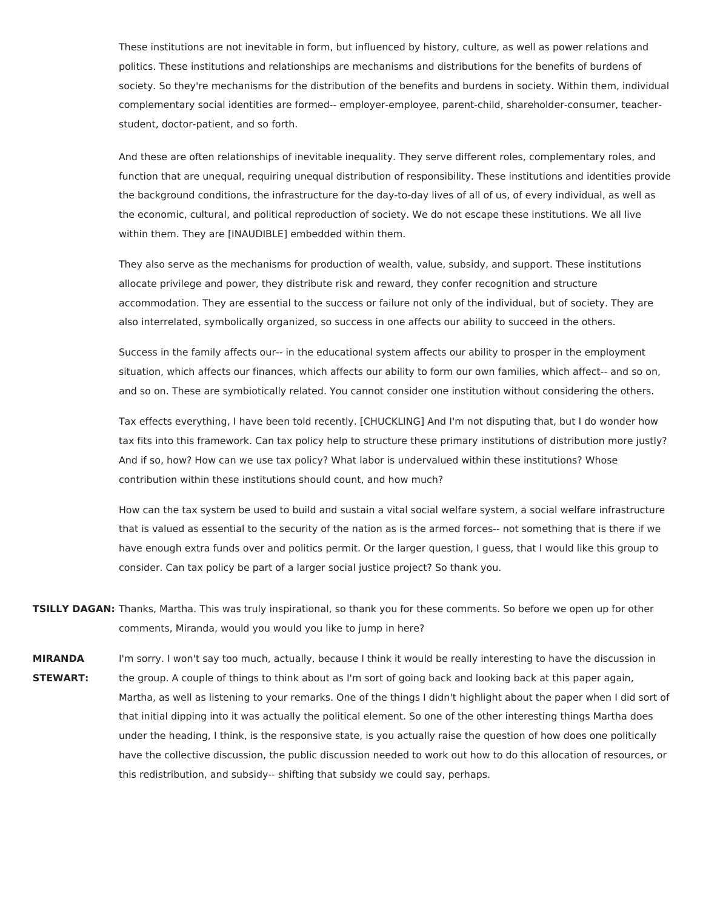These institutions are not inevitable in form, but influenced by history, culture, as well as power relations and politics. These institutions and relationships are mechanisms and distributions for the benefits of burdens of society. So they're mechanisms for the distribution of the benefits and burdens in society. Within them, individual complementary social identities are formed-- employer-employee, parent-child, shareholder-consumer, teacherstudent, doctor-patient, and so forth.

And these are often relationships of inevitable inequality. They serve different roles, complementary roles, and function that are unequal, requiring unequal distribution of responsibility. These institutions and identities provide the background conditions, the infrastructure for the day-to-day lives of all of us, of every individual, as well as the economic, cultural, and political reproduction of society. We do not escape these institutions. We all live within them. They are [INAUDIBLE] embedded within them.

They also serve as the mechanisms for production of wealth, value, subsidy, and support. These institutions allocate privilege and power, they distribute risk and reward, they confer recognition and structure accommodation. They are essential to the success or failure not only of the individual, but of society. They are also interrelated, symbolically organized, so success in one affects our ability to succeed in the others.

Success in the family affects our-- in the educational system affects our ability to prosper in the employment situation, which affects our finances, which affects our ability to form our own families, which affect-- and so on, and so on. These are symbiotically related. You cannot consider one institution without considering the others.

Tax effects everything, I have been told recently. [CHUCKLING] And I'm not disputing that, but I do wonder how tax fits into this framework. Can tax policy help to structure these primary institutions of distribution more justly? And if so, how? How can we use tax policy? What labor is undervalued within these institutions? Whose contribution within these institutions should count, and how much?

How can the tax system be used to build and sustain a vital social welfare system, a social welfare infrastructure that is valued as essential to the security of the nation as is the armed forces-- not something that is there if we have enough extra funds over and politics permit. Or the larger question, I guess, that I would like this group to consider. Can tax policy be part of a larger social justice project? So thank you.

- **TSILLY DAGAN:** Thanks, Martha. This was truly inspirational, so thank you for these comments. So before we open up for other comments, Miranda, would you would you like to jump in here?
- **MIRANDA STEWART:** I'm sorry. I won't say too much, actually, because I think it would be really interesting to have the discussion in the group. A couple of things to think about as I'm sort of going back and looking back at this paper again, Martha, as well as listening to your remarks. One of the things I didn't highlight about the paper when I did sort of that initial dipping into it was actually the political element. So one of the other interesting things Martha does under the heading, I think, is the responsive state, is you actually raise the question of how does one politically have the collective discussion, the public discussion needed to work out how to do this allocation of resources, or this redistribution, and subsidy-- shifting that subsidy we could say, perhaps.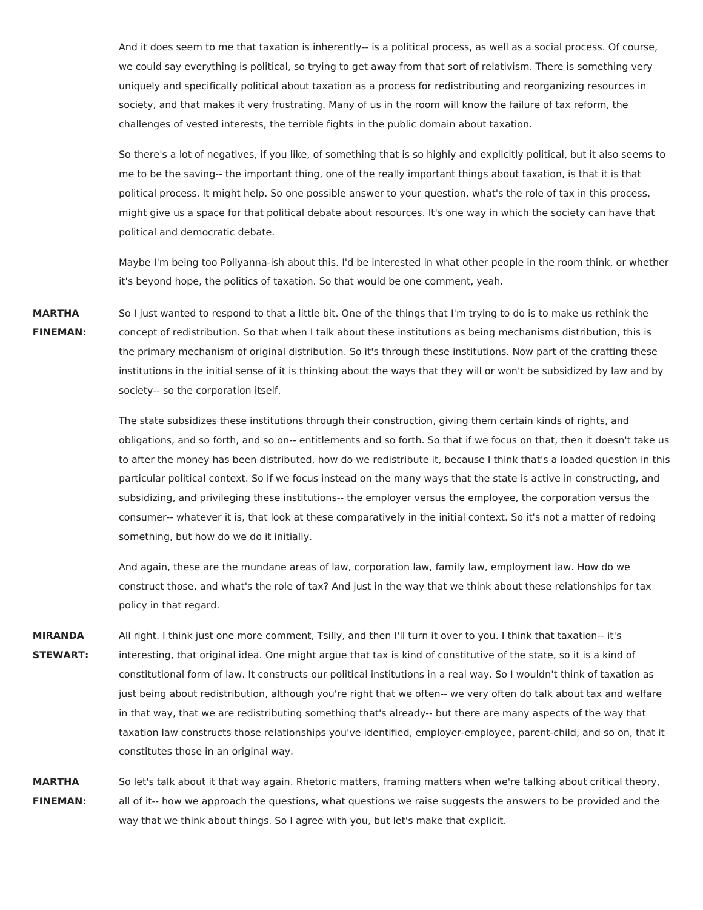And it does seem to me that taxation is inherently-- is a political process, as well as a social process. Of course, we could say everything is political, so trying to get away from that sort of relativism. There is something very uniquely and specifically political about taxation as a process for redistributing and reorganizing resources in society, and that makes it very frustrating. Many of us in the room will know the failure of tax reform, the challenges of vested interests, the terrible fights in the public domain about taxation.

So there's a lot of negatives, if you like, of something that is so highly and explicitly political, but it also seems to me to be the saving-- the important thing, one of the really important things about taxation, is that it is that political process. It might help. So one possible answer to your question, what's the role of tax in this process, might give us a space for that political debate about resources. It's one way in which the society can have that political and democratic debate.

Maybe I'm being too Pollyanna-ish about this. I'd be interested in what other people in the room think, or whether it's beyond hope, the politics of taxation. So that would be one comment, yeah.

**MARTHA FINEMAN:** So I just wanted to respond to that a little bit. One of the things that I'm trying to do is to make us rethink the concept of redistribution. So that when I talk about these institutions as being mechanisms distribution, this is the primary mechanism of original distribution. So it's through these institutions. Now part of the crafting these institutions in the initial sense of it is thinking about the ways that they will or won't be subsidized by law and by society-- so the corporation itself.

> The state subsidizes these institutions through their construction, giving them certain kinds of rights, and obligations, and so forth, and so on-- entitlements and so forth. So that if we focus on that, then it doesn't take us to after the money has been distributed, how do we redistribute it, because I think that's a loaded question in this particular political context. So if we focus instead on the many ways that the state is active in constructing, and subsidizing, and privileging these institutions-- the employer versus the employee, the corporation versus the consumer-- whatever it is, that look at these comparatively in the initial context. So it's not a matter of redoing something, but how do we do it initially.

And again, these are the mundane areas of law, corporation law, family law, employment law. How do we construct those, and what's the role of tax? And just in the way that we think about these relationships for tax policy in that regard.

**MIRANDA STEWART:** All right. I think just one more comment, Tsilly, and then I'll turn it over to you. I think that taxation-- it's interesting, that original idea. One might argue that tax is kind of constitutive of the state, so it is a kind of constitutional form of law. It constructs our political institutions in a real way. So I wouldn't think of taxation as just being about redistribution, although you're right that we often-- we very often do talk about tax and welfare in that way, that we are redistributing something that's already-- but there are many aspects of the way that taxation law constructs those relationships you've identified, employer-employee, parent-child, and so on, that it constitutes those in an original way.

**MARTHA FINEMAN:** So let's talk about it that way again. Rhetoric matters, framing matters when we're talking about critical theory, all of it-- how we approach the questions, what questions we raise suggests the answers to be provided and the way that we think about things. So I agree with you, but let's make that explicit.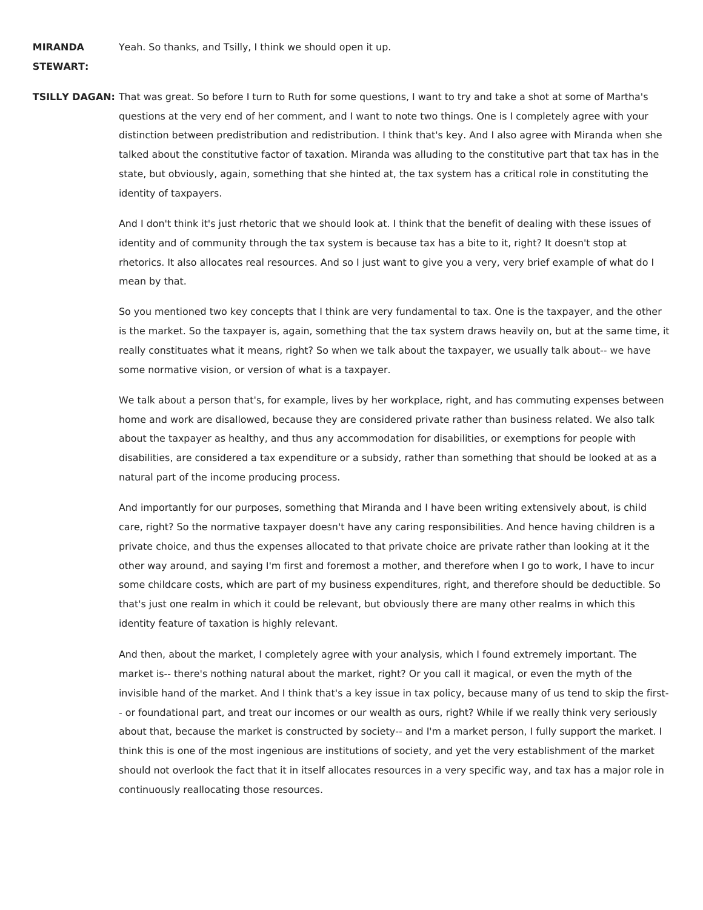**MIRANDA**

## **STEWART:**

**TSILLY DAGAN:** That was great. So before I turn to Ruth for some questions, I want to try and take a shot at some of Martha's questions at the very end of her comment, and I want to note two things. One is I completely agree with your distinction between predistribution and redistribution. I think that's key. And I also agree with Miranda when she talked about the constitutive factor of taxation. Miranda was alluding to the constitutive part that tax has in the state, but obviously, again, something that she hinted at, the tax system has a critical role in constituting the identity of taxpayers.

> And I don't think it's just rhetoric that we should look at. I think that the benefit of dealing with these issues of identity and of community through the tax system is because tax has a bite to it, right? It doesn't stop at rhetorics. It also allocates real resources. And so I just want to give you a very, very brief example of what do I mean by that.

So you mentioned two key concepts that I think are very fundamental to tax. One is the taxpayer, and the other is the market. So the taxpayer is, again, something that the tax system draws heavily on, but at the same time, it really constituates what it means, right? So when we talk about the taxpayer, we usually talk about-- we have some normative vision, or version of what is a taxpayer.

We talk about a person that's, for example, lives by her workplace, right, and has commuting expenses between home and work are disallowed, because they are considered private rather than business related. We also talk about the taxpayer as healthy, and thus any accommodation for disabilities, or exemptions for people with disabilities, are considered a tax expenditure or a subsidy, rather than something that should be looked at as a natural part of the income producing process.

And importantly for our purposes, something that Miranda and I have been writing extensively about, is child care, right? So the normative taxpayer doesn't have any caring responsibilities. And hence having children is a private choice, and thus the expenses allocated to that private choice are private rather than looking at it the other way around, and saying I'm first and foremost a mother, and therefore when I go to work, I have to incur some childcare costs, which are part of my business expenditures, right, and therefore should be deductible. So that's just one realm in which it could be relevant, but obviously there are many other realms in which this identity feature of taxation is highly relevant.

And then, about the market, I completely agree with your analysis, which I found extremely important. The market is-- there's nothing natural about the market, right? Or you call it magical, or even the myth of the invisible hand of the market. And I think that's a key issue in tax policy, because many of us tend to skip the first- - or foundational part, and treat our incomes or our wealth as ours, right? While if we really think very seriously about that, because the market is constructed by society-- and I'm a market person, I fully support the market. I think this is one of the most ingenious are institutions of society, and yet the very establishment of the market should not overlook the fact that it in itself allocates resources in a very specific way, and tax has a major role in continuously reallocating those resources.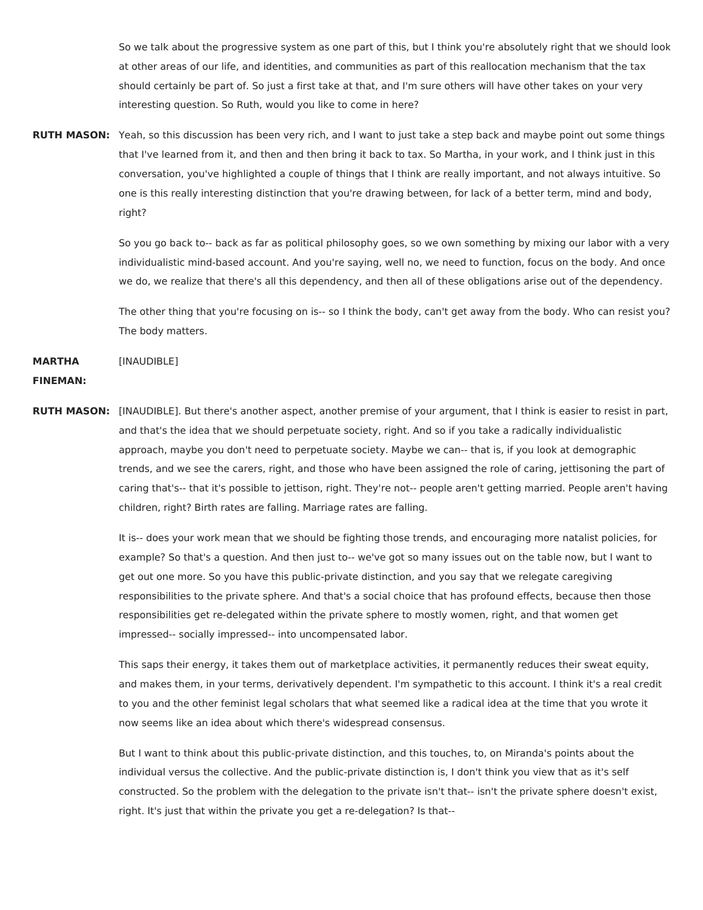So we talk about the progressive system as one part of this, but I think you're absolutely right that we should look at other areas of our life, and identities, and communities as part of this reallocation mechanism that the tax should certainly be part of. So just a first take at that, and I'm sure others will have other takes on your very interesting question. So Ruth, would you like to come in here?

**RUTH MASON:** Yeah, so this discussion has been very rich, and I want to just take a step back and maybe point out some things that I've learned from it, and then and then bring it back to tax. So Martha, in your work, and I think just in this conversation, you've highlighted a couple of things that I think are really important, and not always intuitive. So one is this really interesting distinction that you're drawing between, for lack of a better term, mind and body, right?

> So you go back to-- back as far as political philosophy goes, so we own something by mixing our labor with a very individualistic mind-based account. And you're saying, well no, we need to function, focus on the body. And once we do, we realize that there's all this dependency, and then all of these obligations arise out of the dependency.

> The other thing that you're focusing on is-- so I think the body, can't get away from the body. Who can resist you? The body matters.

**MARTHA** [INAUDIBLE]

## **FINEMAN:**

**RUTH MASON:** [INAUDIBLE]. But there's another aspect, another premise of your argument, that I think is easier to resist in part, and that's the idea that we should perpetuate society, right. And so if you take a radically individualistic approach, maybe you don't need to perpetuate society. Maybe we can-- that is, if you look at demographic trends, and we see the carers, right, and those who have been assigned the role of caring, jettisoning the part of caring that's-- that it's possible to jettison, right. They're not-- people aren't getting married. People aren't having children, right? Birth rates are falling. Marriage rates are falling.

> It is-- does your work mean that we should be fighting those trends, and encouraging more natalist policies, for example? So that's a question. And then just to-- we've got so many issues out on the table now, but I want to get out one more. So you have this public-private distinction, and you say that we relegate caregiving responsibilities to the private sphere. And that's a social choice that has profound effects, because then those responsibilities get re-delegated within the private sphere to mostly women, right, and that women get impressed-- socially impressed-- into uncompensated labor.

> This saps their energy, it takes them out of marketplace activities, it permanently reduces their sweat equity, and makes them, in your terms, derivatively dependent. I'm sympathetic to this account. I think it's a real credit to you and the other feminist legal scholars that what seemed like a radical idea at the time that you wrote it now seems like an idea about which there's widespread consensus.

But I want to think about this public-private distinction, and this touches, to, on Miranda's points about the individual versus the collective. And the public-private distinction is, I don't think you view that as it's self constructed. So the problem with the delegation to the private isn't that-- isn't the private sphere doesn't exist, right. It's just that within the private you get a re-delegation? Is that--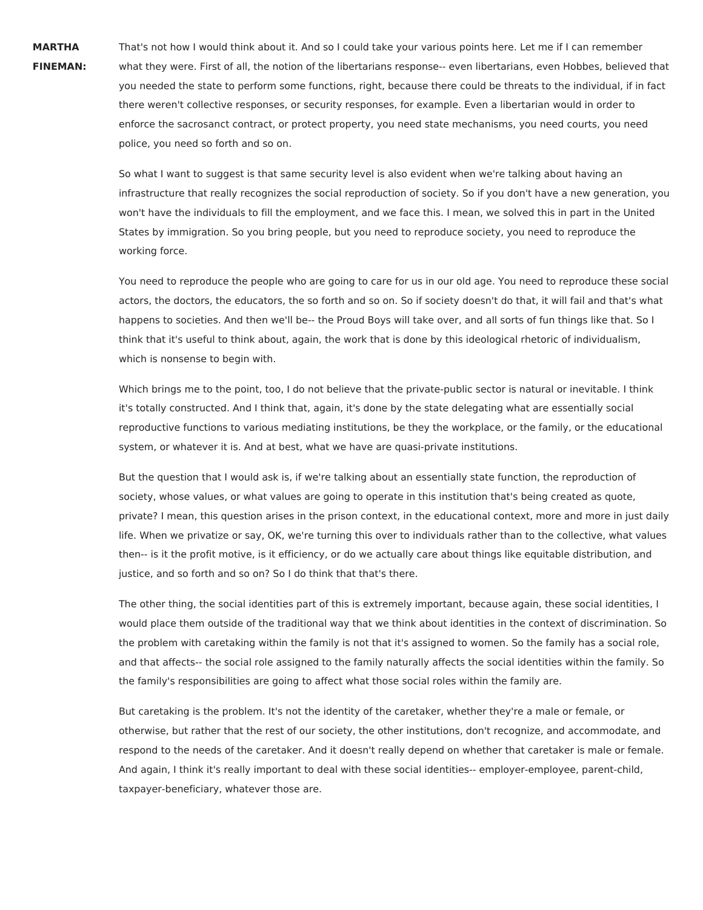**MARTHA FINEMAN:** That's not how I would think about it. And so I could take your various points here. Let me if I can remember what they were. First of all, the notion of the libertarians response-- even libertarians, even Hobbes, believed that you needed the state to perform some functions, right, because there could be threats to the individual, if in fact there weren't collective responses, or security responses, for example. Even a libertarian would in order to enforce the sacrosanct contract, or protect property, you need state mechanisms, you need courts, you need police, you need so forth and so on.

So what I want to suggest is that same security level is also evident when we're talking about having an infrastructure that really recognizes the social reproduction of society. So if you don't have a new generation, you won't have the individuals to fill the employment, and we face this. I mean, we solved this in part in the United States by immigration. So you bring people, but you need to reproduce society, you need to reproduce the working force.

You need to reproduce the people who are going to care for us in our old age. You need to reproduce these social actors, the doctors, the educators, the so forth and so on. So if society doesn't do that, it will fail and that's what happens to societies. And then we'll be-- the Proud Boys will take over, and all sorts of fun things like that. So I think that it's useful to think about, again, the work that is done by this ideological rhetoric of individualism, which is nonsense to begin with.

Which brings me to the point, too, I do not believe that the private-public sector is natural or inevitable. I think it's totally constructed. And I think that, again, it's done by the state delegating what are essentially social reproductive functions to various mediating institutions, be they the workplace, or the family, or the educational system, or whatever it is. And at best, what we have are quasi-private institutions.

But the question that I would ask is, if we're talking about an essentially state function, the reproduction of society, whose values, or what values are going to operate in this institution that's being created as quote, private? I mean, this question arises in the prison context, in the educational context, more and more in just daily life. When we privatize or say, OK, we're turning this over to individuals rather than to the collective, what values then-- is it the profit motive, is it efficiency, or do we actually care about things like equitable distribution, and justice, and so forth and so on? So I do think that that's there.

The other thing, the social identities part of this is extremely important, because again, these social identities, I would place them outside of the traditional way that we think about identities in the context of discrimination. So the problem with caretaking within the family is not that it's assigned to women. So the family has a social role, and that affects-- the social role assigned to the family naturally affects the social identities within the family. So the family's responsibilities are going to affect what those social roles within the family are.

But caretaking is the problem. It's not the identity of the caretaker, whether they're a male or female, or otherwise, but rather that the rest of our society, the other institutions, don't recognize, and accommodate, and respond to the needs of the caretaker. And it doesn't really depend on whether that caretaker is male or female. And again, I think it's really important to deal with these social identities-- employer-employee, parent-child, taxpayer-beneficiary, whatever those are.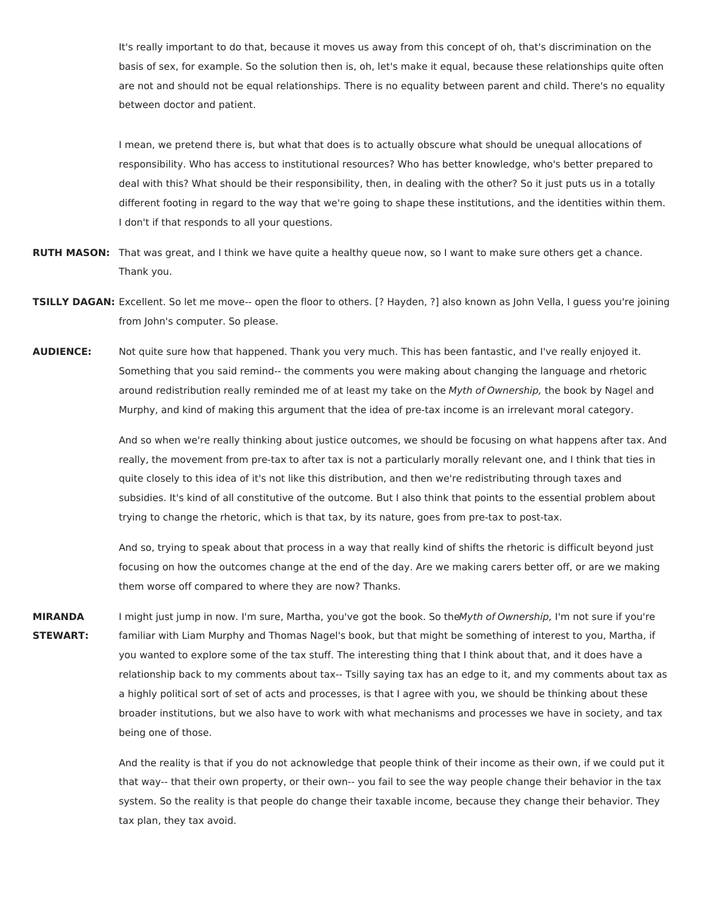It's really important to do that, because it moves us away from this concept of oh, that's discrimination on the basis of sex, for example. So the solution then is, oh, let's make it equal, because these relationships quite often are not and should not be equal relationships. There is no equality between parent and child. There's no equality between doctor and patient.

I mean, we pretend there is, but what that does is to actually obscure what should be unequal allocations of responsibility. Who has access to institutional resources? Who has better knowledge, who's better prepared to deal with this? What should be their responsibility, then, in dealing with the other? So it just puts us in a totally different footing in regard to the way that we're going to shape these institutions, and the identities within them. I don't if that responds to all your questions.

- **RUTH MASON:** That was great, and I think we have quite a healthy queue now, so I want to make sure others get a chance. Thank you.
- **TSILLY DAGAN:** Excellent. So let me move-- open the floor to others. [? Hayden, ?] also known as John Vella, I guess you're joining from John's computer. So please.
- **AUDIENCE:** Not quite sure how that happened. Thank you very much. This has been fantastic, and I've really enjoyed it. Something that you said remind-- the comments you were making about changing the language and rhetoric around redistribution really reminded me of at least my take on the Myth of Ownership, the book by Nagel and Murphy, and kind of making this argument that the idea of pre-tax income is an irrelevant moral category.

And so when we're really thinking about justice outcomes, we should be focusing on what happens after tax. And really, the movement from pre-tax to after tax is not a particularly morally relevant one, and I think that ties in quite closely to this idea of it's not like this distribution, and then we're redistributing through taxes and subsidies. It's kind of all constitutive of the outcome. But I also think that points to the essential problem about trying to change the rhetoric, which is that tax, by its nature, goes from pre-tax to post-tax.

And so, trying to speak about that process in a way that really kind of shifts the rhetoric is difficult beyond just focusing on how the outcomes change at the end of the day. Are we making carers better off, or are we making them worse off compared to where they are now? Thanks.

**MIRANDA STEWART:** I might just jump in now. I'm sure, Martha, you've got the book. So theMyth of Ownership, I'm not sure if you're familiar with Liam Murphy and Thomas Nagel's book, but that might be something of interest to you, Martha, if you wanted to explore some of the tax stuff. The interesting thing that I think about that, and it does have a relationship back to my comments about tax-- Tsilly saying tax has an edge to it, and my comments about tax as a highly political sort of set of acts and processes, is that I agree with you, we should be thinking about these broader institutions, but we also have to work with what mechanisms and processes we have in society, and tax being one of those.

> And the reality is that if you do not acknowledge that people think of their income as their own, if we could put it that way-- that their own property, or their own-- you fail to see the way people change their behavior in the tax system. So the reality is that people do change their taxable income, because they change their behavior. They tax plan, they tax avoid.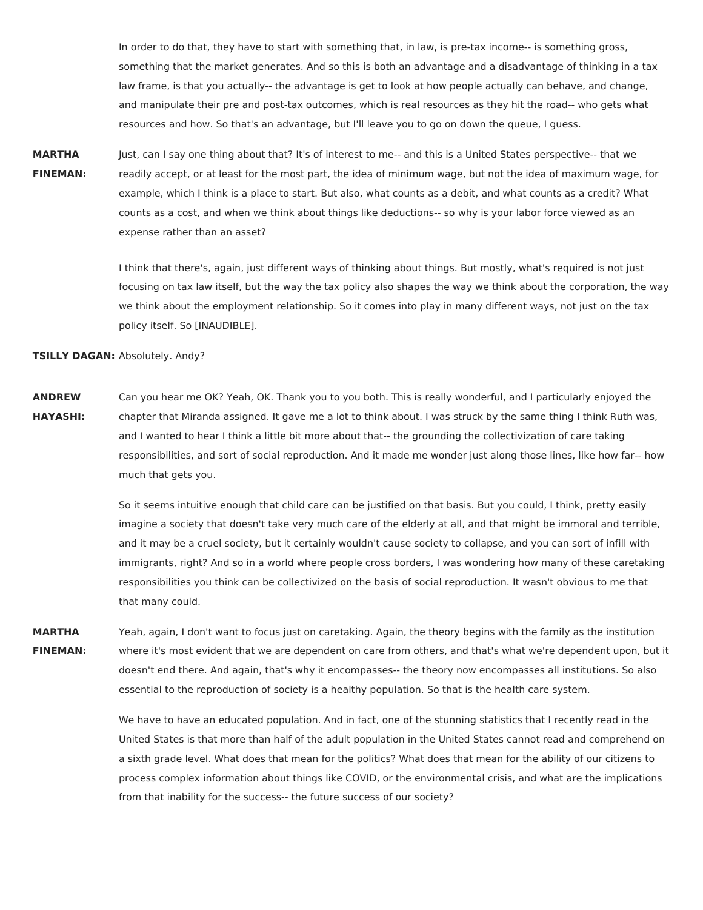In order to do that, they have to start with something that, in law, is pre-tax income-- is something gross, something that the market generates. And so this is both an advantage and a disadvantage of thinking in a tax law frame, is that you actually-- the advantage is get to look at how people actually can behave, and change, and manipulate their pre and post-tax outcomes, which is real resources as they hit the road-- who gets what resources and how. So that's an advantage, but I'll leave you to go on down the queue, I guess.

**MARTHA FINEMAN:** Just, can I say one thing about that? It's of interest to me-- and this is a United States perspective-- that we readily accept, or at least for the most part, the idea of minimum wage, but not the idea of maximum wage, for example, which I think is a place to start. But also, what counts as a debit, and what counts as a credit? What counts as a cost, and when we think about things like deductions-- so why is your labor force viewed as an expense rather than an asset?

> I think that there's, again, just different ways of thinking about things. But mostly, what's required is not just focusing on tax law itself, but the way the tax policy also shapes the way we think about the corporation, the way we think about the employment relationship. So it comes into play in many different ways, not just on the tax policy itself. So [INAUDIBLE].

**TSILLY DAGAN:** Absolutely. Andy?

**ANDREW HAYASHI:** Can you hear me OK? Yeah, OK. Thank you to you both. This is really wonderful, and I particularly enjoyed the chapter that Miranda assigned. It gave me a lot to think about. I was struck by the same thing I think Ruth was, and I wanted to hear I think a little bit more about that-- the grounding the collectivization of care taking responsibilities, and sort of social reproduction. And it made me wonder just along those lines, like how far-- how much that gets you.

> So it seems intuitive enough that child care can be justified on that basis. But you could, I think, pretty easily imagine a society that doesn't take very much care of the elderly at all, and that might be immoral and terrible, and it may be a cruel society, but it certainly wouldn't cause society to collapse, and you can sort of infill with immigrants, right? And so in a world where people cross borders, I was wondering how many of these caretaking responsibilities you think can be collectivized on the basis of social reproduction. It wasn't obvious to me that that many could.

**MARTHA FINEMAN:** Yeah, again, I don't want to focus just on caretaking. Again, the theory begins with the family as the institution where it's most evident that we are dependent on care from others, and that's what we're dependent upon, but it doesn't end there. And again, that's why it encompasses-- the theory now encompasses all institutions. So also essential to the reproduction of society is a healthy population. So that is the health care system.

> We have to have an educated population. And in fact, one of the stunning statistics that I recently read in the United States is that more than half of the adult population in the United States cannot read and comprehend on a sixth grade level. What does that mean for the politics? What does that mean for the ability of our citizens to process complex information about things like COVID, or the environmental crisis, and what are the implications from that inability for the success-- the future success of our society?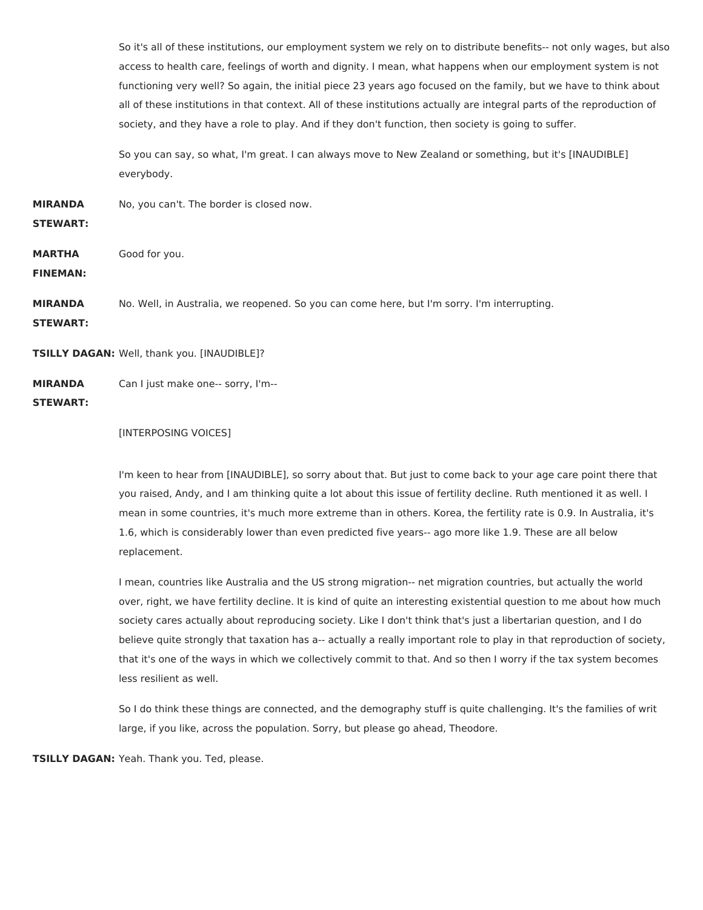So it's all of these institutions, our employment system we rely on to distribute benefits-- not only wages, but also access to health care, feelings of worth and dignity. I mean, what happens when our employment system is not functioning very well? So again, the initial piece 23 years ago focused on the family, but we have to think about all of these institutions in that context. All of these institutions actually are integral parts of the reproduction of society, and they have a role to play. And if they don't function, then society is going to suffer.

So you can say, so what, I'm great. I can always move to New Zealand or something, but it's [INAUDIBLE] everybody.

**MIRANDA** No, you can't. The border is closed now.

## **STEWART:**

**MARTHA** Good for you.

**FINEMAN:**

**MIRANDA** No. Well, in Australia, we reopened. So you can come here, but I'm sorry. I'm interrupting.

**STEWART:**

**TSILLY DAGAN:** Well, thank you. [INAUDIBLE]?

**MIRANDA STEWART:** Can I just make one-- sorry, I'm--

## [INTERPOSING VOICES]

I'm keen to hear from [INAUDIBLE], so sorry about that. But just to come back to your age care point there that you raised, Andy, and I am thinking quite a lot about this issue of fertility decline. Ruth mentioned it as well. I mean in some countries, it's much more extreme than in others. Korea, the fertility rate is 0.9. In Australia, it's 1.6, which is considerably lower than even predicted five years-- ago more like 1.9. These are all below replacement.

I mean, countries like Australia and the US strong migration-- net migration countries, but actually the world over, right, we have fertility decline. It is kind of quite an interesting existential question to me about how much society cares actually about reproducing society. Like I don't think that's just a libertarian question, and I do believe quite strongly that taxation has a-- actually a really important role to play in that reproduction of society, that it's one of the ways in which we collectively commit to that. And so then I worry if the tax system becomes less resilient as well.

So I do think these things are connected, and the demography stuff is quite challenging. It's the families of writ large, if you like, across the population. Sorry, but please go ahead, Theodore.

**TSILLY DAGAN:** Yeah. Thank you. Ted, please.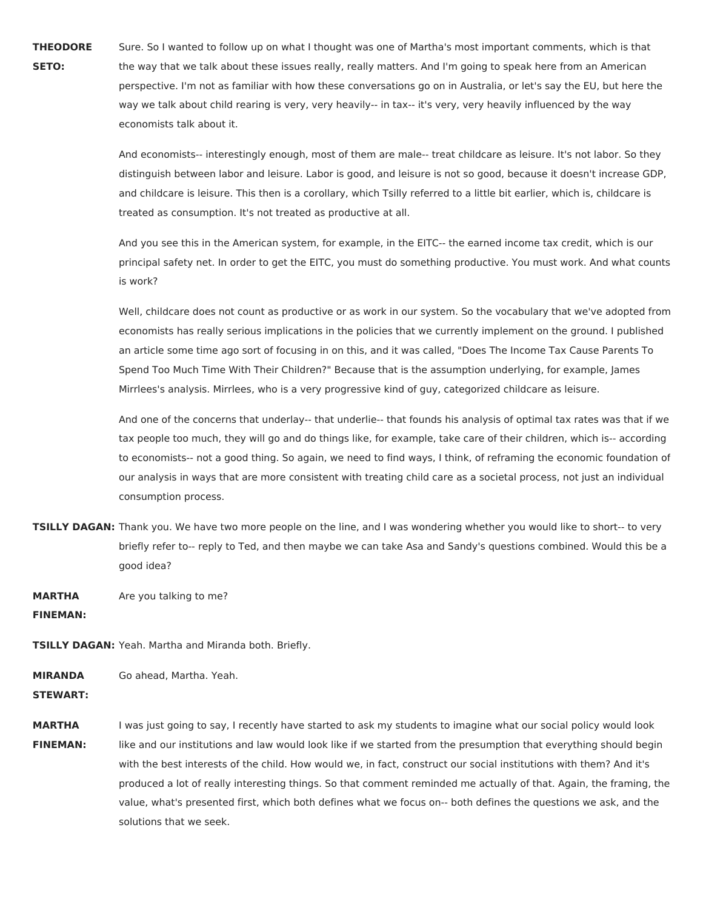**THEODORE SETO:** Sure. So I wanted to follow up on what I thought was one of Martha's most important comments, which is that the way that we talk about these issues really, really matters. And I'm going to speak here from an American perspective. I'm not as familiar with how these conversations go on in Australia, or let's say the EU, but here the way we talk about child rearing is very, very heavily-- in tax-- it's very, very heavily influenced by the way economists talk about it.

> And economists-- interestingly enough, most of them are male-- treat childcare as leisure. It's not labor. So they distinguish between labor and leisure. Labor is good, and leisure is not so good, because it doesn't increase GDP, and childcare is leisure. This then is a corollary, which Tsilly referred to a little bit earlier, which is, childcare is treated as consumption. It's not treated as productive at all.

> And you see this in the American system, for example, in the EITC-- the earned income tax credit, which is our principal safety net. In order to get the EITC, you must do something productive. You must work. And what counts is work?

> Well, childcare does not count as productive or as work in our system. So the vocabulary that we've adopted from economists has really serious implications in the policies that we currently implement on the ground. I published an article some time ago sort of focusing in on this, and it was called, "Does The Income Tax Cause Parents To Spend Too Much Time With Their Children?" Because that is the assumption underlying, for example, James Mirrlees's analysis. Mirrlees, who is a very progressive kind of guy, categorized childcare as leisure.

> And one of the concerns that underlay-- that underlie-- that founds his analysis of optimal tax rates was that if we tax people too much, they will go and do things like, for example, take care of their children, which is-- according to economists-- not a good thing. So again, we need to find ways, I think, of reframing the economic foundation of our analysis in ways that are more consistent with treating child care as a societal process, not just an individual consumption process.

- **TSILLY DAGAN:** Thank you. We have two more people on the line, and I was wondering whether you would like to short-- to very briefly refer to-- reply to Ted, and then maybe we can take Asa and Sandy's questions combined. Would this be a good idea?
- **MARTHA** Are you talking to me?

**FINEMAN:**

**TSILLY DAGAN:** Yeah. Martha and Miranda both. Briefly.

**MIRANDA** Go ahead, Martha. Yeah.

**STEWART:**

**MARTHA FINEMAN:** I was just going to say, I recently have started to ask my students to imagine what our social policy would look like and our institutions and law would look like if we started from the presumption that everything should begin with the best interests of the child. How would we, in fact, construct our social institutions with them? And it's produced a lot of really interesting things. So that comment reminded me actually of that. Again, the framing, the value, what's presented first, which both defines what we focus on-- both defines the questions we ask, and the solutions that we seek.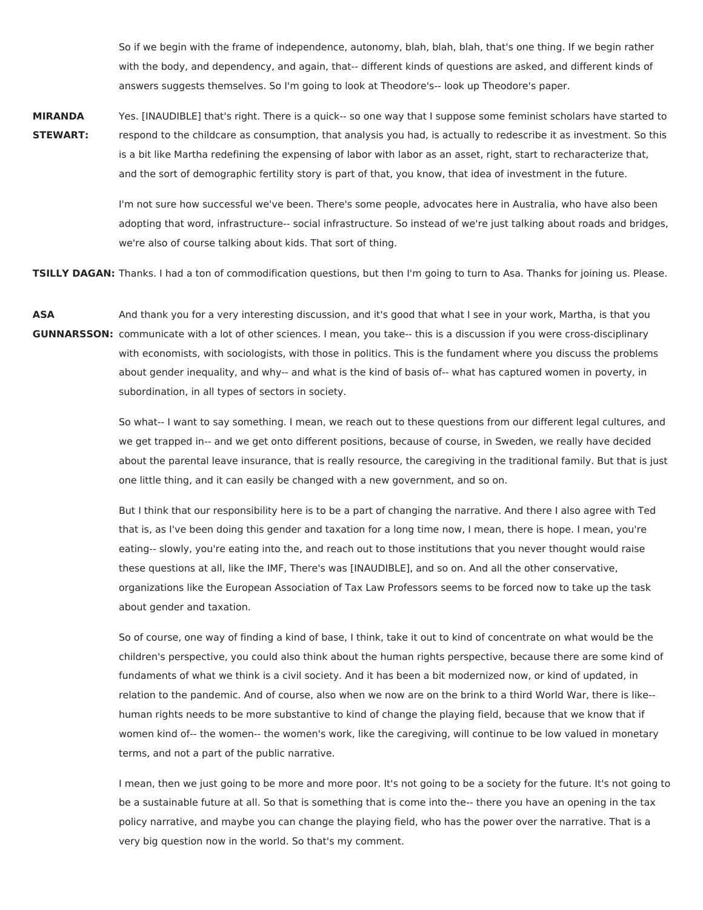So if we begin with the frame of independence, autonomy, blah, blah, blah, that's one thing. If we begin rather with the body, and dependency, and again, that-- different kinds of questions are asked, and different kinds of answers suggests themselves. So I'm going to look at Theodore's-- look up Theodore's paper.

**MIRANDA STEWART:** Yes. [INAUDIBLE] that's right. There is a quick-- so one way that I suppose some feminist scholars have started to respond to the childcare as consumption, that analysis you had, is actually to redescribe it as investment. So this is a bit like Martha redefining the expensing of labor with labor as an asset, right, start to recharacterize that, and the sort of demographic fertility story is part of that, you know, that idea of investment in the future.

> I'm not sure how successful we've been. There's some people, advocates here in Australia, who have also been adopting that word, infrastructure-- social infrastructure. So instead of we're just talking about roads and bridges, we're also of course talking about kids. That sort of thing.

**TSILLY DAGAN:** Thanks. I had a ton of commodification questions, but then I'm going to turn to Asa. Thanks for joining us. Please.

**ASA GUNNARSSON:** communicate with a lot of other sciences. I mean, you take-- this is a discussion if you were cross-disciplinary And thank you for a very interesting discussion, and it's good that what I see in your work, Martha, is that you with economists, with sociologists, with those in politics. This is the fundament where you discuss the problems about gender inequality, and why-- and what is the kind of basis of-- what has captured women in poverty, in subordination, in all types of sectors in society.

> So what-- I want to say something. I mean, we reach out to these questions from our different legal cultures, and we get trapped in-- and we get onto different positions, because of course, in Sweden, we really have decided about the parental leave insurance, that is really resource, the caregiving in the traditional family. But that is just one little thing, and it can easily be changed with a new government, and so on.

But I think that our responsibility here is to be a part of changing the narrative. And there I also agree with Ted that is, as I've been doing this gender and taxation for a long time now, I mean, there is hope. I mean, you're eating-- slowly, you're eating into the, and reach out to those institutions that you never thought would raise these questions at all, like the IMF, There's was [INAUDIBLE], and so on. And all the other conservative, organizations like the European Association of Tax Law Professors seems to be forced now to take up the task about gender and taxation.

So of course, one way of finding a kind of base, I think, take it out to kind of concentrate on what would be the children's perspective, you could also think about the human rights perspective, because there are some kind of fundaments of what we think is a civil society. And it has been a bit modernized now, or kind of updated, in relation to the pandemic. And of course, also when we now are on the brink to a third World War, there is like- human rights needs to be more substantive to kind of change the playing field, because that we know that if women kind of-- the women-- the women's work, like the caregiving, will continue to be low valued in monetary terms, and not a part of the public narrative.

I mean, then we just going to be more and more poor. It's not going to be a society for the future. It's not going to be a sustainable future at all. So that is something that is come into the-- there you have an opening in the tax policy narrative, and maybe you can change the playing field, who has the power over the narrative. That is a very big question now in the world. So that's my comment.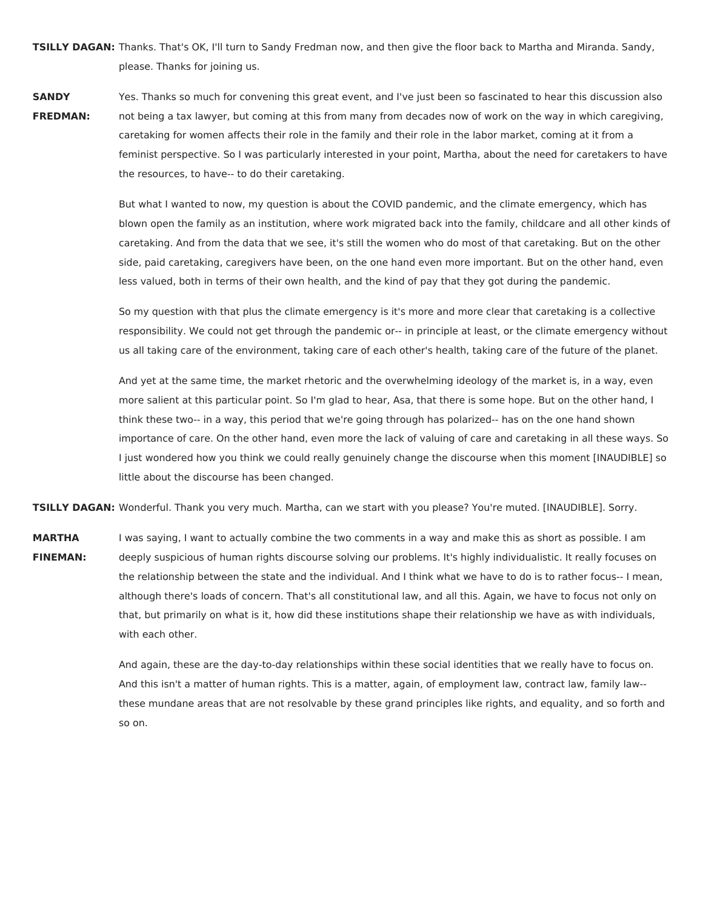**TSILLY DAGAN:** Thanks. That's OK, I'll turn to Sandy Fredman now, and then give the floor back to Martha and Miranda. Sandy, please. Thanks for joining us.

**SANDY**

**FREDMAN:** Yes. Thanks so much for convening this great event, and I've just been so fascinated to hear this discussion also not being a tax lawyer, but coming at this from many from decades now of work on the way in which caregiving, caretaking for women affects their role in the family and their role in the labor market, coming at it from a feminist perspective. So I was particularly interested in your point, Martha, about the need for caretakers to have the resources, to have-- to do their caretaking.

> But what I wanted to now, my question is about the COVID pandemic, and the climate emergency, which has blown open the family as an institution, where work migrated back into the family, childcare and all other kinds of caretaking. And from the data that we see, it's still the women who do most of that caretaking. But on the other side, paid caretaking, caregivers have been, on the one hand even more important. But on the other hand, even less valued, both in terms of their own health, and the kind of pay that they got during the pandemic.

> So my question with that plus the climate emergency is it's more and more clear that caretaking is a collective responsibility. We could not get through the pandemic or-- in principle at least, or the climate emergency without us all taking care of the environment, taking care of each other's health, taking care of the future of the planet.

> And yet at the same time, the market rhetoric and the overwhelming ideology of the market is, in a way, even more salient at this particular point. So I'm glad to hear, Asa, that there is some hope. But on the other hand, I think these two-- in a way, this period that we're going through has polarized-- has on the one hand shown importance of care. On the other hand, even more the lack of valuing of care and caretaking in all these ways. So I just wondered how you think we could really genuinely change the discourse when this moment [INAUDIBLE] so little about the discourse has been changed.

**TSILLY DAGAN:** Wonderful. Thank you very much. Martha, can we start with you please? You're muted. [INAUDIBLE]. Sorry.

**MARTHA FINEMAN:** I was saying, I want to actually combine the two comments in a way and make this as short as possible. I am deeply suspicious of human rights discourse solving our problems. It's highly individualistic. It really focuses on the relationship between the state and the individual. And I think what we have to do is to rather focus-- I mean, although there's loads of concern. That's all constitutional law, and all this. Again, we have to focus not only on that, but primarily on what is it, how did these institutions shape their relationship we have as with individuals, with each other.

> And again, these are the day-to-day relationships within these social identities that we really have to focus on. And this isn't a matter of human rights. This is a matter, again, of employment law, contract law, family law- these mundane areas that are not resolvable by these grand principles like rights, and equality, and so forth and so on.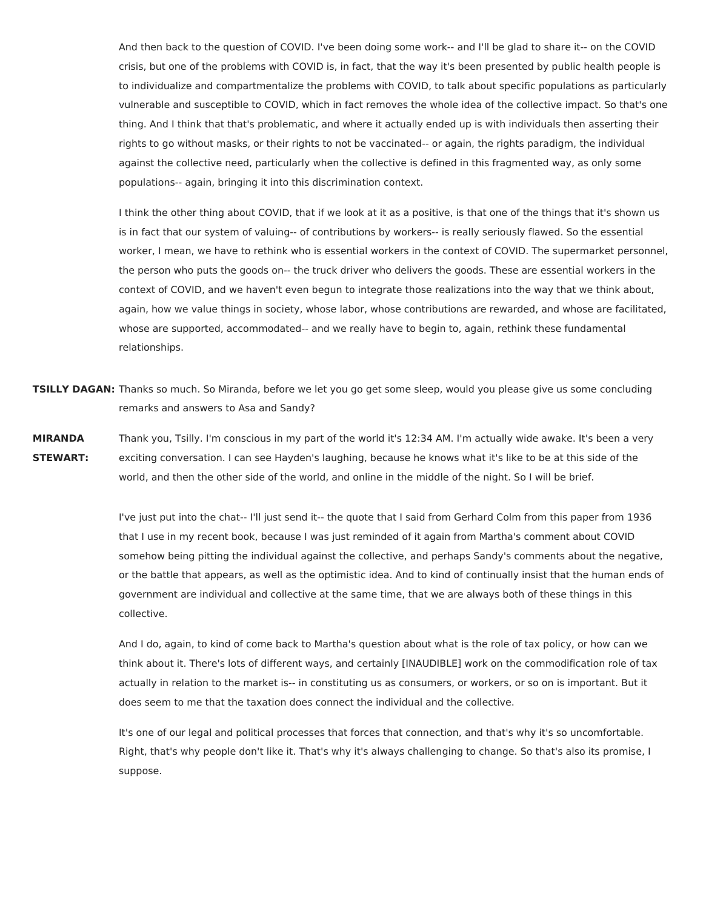And then back to the question of COVID. I've been doing some work-- and I'll be glad to share it-- on the COVID crisis, but one of the problems with COVID is, in fact, that the way it's been presented by public health people is to individualize and compartmentalize the problems with COVID, to talk about specific populations as particularly vulnerable and susceptible to COVID, which in fact removes the whole idea of the collective impact. So that's one thing. And I think that that's problematic, and where it actually ended up is with individuals then asserting their rights to go without masks, or their rights to not be vaccinated-- or again, the rights paradigm, the individual against the collective need, particularly when the collective is defined in this fragmented way, as only some populations-- again, bringing it into this discrimination context.

I think the other thing about COVID, that if we look at it as a positive, is that one of the things that it's shown us is in fact that our system of valuing-- of contributions by workers-- is really seriously flawed. So the essential worker, I mean, we have to rethink who is essential workers in the context of COVID. The supermarket personnel, the person who puts the goods on-- the truck driver who delivers the goods. These are essential workers in the context of COVID, and we haven't even begun to integrate those realizations into the way that we think about, again, how we value things in society, whose labor, whose contributions are rewarded, and whose are facilitated, whose are supported, accommodated-- and we really have to begin to, again, rethink these fundamental relationships.

**TSILLY DAGAN:** Thanks so much. So Miranda, before we let you go get some sleep, would you please give us some concluding remarks and answers to Asa and Sandy?

**MIRANDA STEWART:** Thank you, Tsilly. I'm conscious in my part of the world it's 12:34 AM. I'm actually wide awake. It's been a very exciting conversation. I can see Hayden's laughing, because he knows what it's like to be at this side of the world, and then the other side of the world, and online in the middle of the night. So I will be brief.

> I've just put into the chat-- I'll just send it-- the quote that I said from Gerhard Colm from this paper from 1936 that I use in my recent book, because I was just reminded of it again from Martha's comment about COVID somehow being pitting the individual against the collective, and perhaps Sandy's comments about the negative, or the battle that appears, as well as the optimistic idea. And to kind of continually insist that the human ends of government are individual and collective at the same time, that we are always both of these things in this collective.

And I do, again, to kind of come back to Martha's question about what is the role of tax policy, or how can we think about it. There's lots of different ways, and certainly [INAUDIBLE] work on the commodification role of tax actually in relation to the market is-- in constituting us as consumers, or workers, or so on is important. But it does seem to me that the taxation does connect the individual and the collective.

It's one of our legal and political processes that forces that connection, and that's why it's so uncomfortable. Right, that's why people don't like it. That's why it's always challenging to change. So that's also its promise, I suppose.